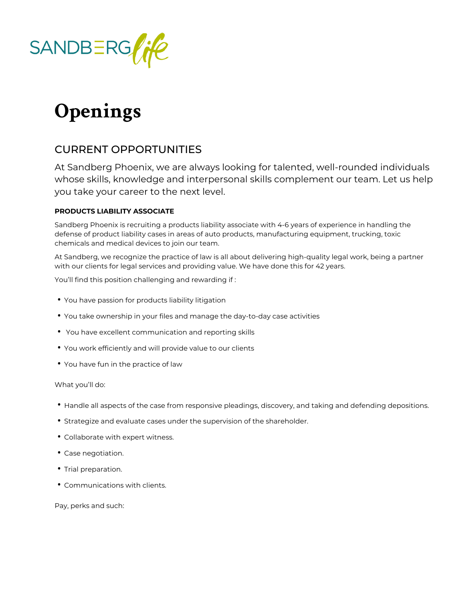

# **Openings**

## CURRENT OPPORTUNITIES

At Sandberg Phoenix, we are always looking for talented, well-rounded individuals whose skills, knowledge and interpersonal skills complement our team. Let us help you take your career to the next level.

### **PRODUCTS LIABILITY ASSOCIATE**

Sandberg Phoenix is recruiting a products liability associate with 4-6 years of experience in handling the defense of product liability cases in areas of auto products, manufacturing equipment, trucking, toxic chemicals and medical devices to join our team.

At Sandberg, we recognize the practice of law is all about delivering high-quality legal work, being a partner with our clients for legal services and providing value. We have done this for 42 years.

You'll find this position challenging and rewarding if :

- You have passion for products liability litigation
- You take ownership in your files and manage the day-to-day case activities
- You have excellent communication and reporting skills
- You work efficiently and will provide value to our clients
- You have fun in the practice of law

What you'll do:

- Handle all aspects of the case from responsive pleadings, discovery, and taking and defending depositions.
- Strategize and evaluate cases under the supervision of the shareholder.
- Collaborate with expert witness.
- Case negotiation.
- Trial preparation.
- Communications with clients.

Pay, perks and such: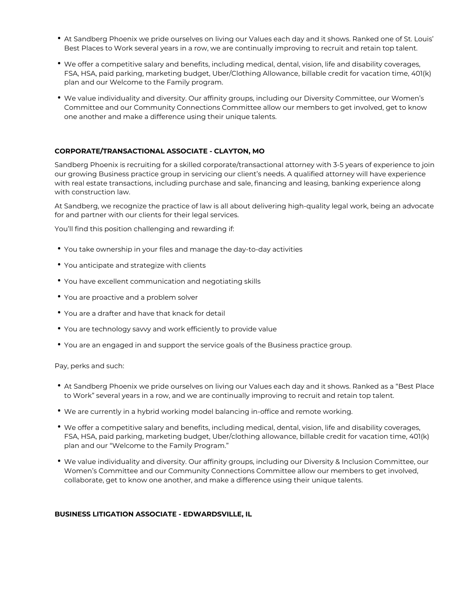- At Sandberg Phoenix we pride ourselves on living our Values each day and it shows. Ranked one of St. Louis' Best Places to Work several years in a row, we are continually improving to recruit and retain top talent.
- We offer a competitive salary and benefits, including medical, dental, vision, life and disability coverages, FSA, HSA, paid parking, marketing budget, Uber/Clothing Allowance, billable credit for vacation time, 401(k) plan and our Welcome to the Family program.
- We value individuality and diversity. Our affinity groups, including our Diversity Committee, our Women's Committee and our Community Connections Committee allow our members to get involved, get to know one another and make a difference using their unique talents.

#### **CORPORATE/TRANSACTIONAL ASSOCIATE - CLAYTON, MO**

Sandberg Phoenix is recruiting for a skilled corporate/transactional attorney with 3-5 years of experience to join our growing Business practice group in servicing our client's needs. A qualified attorney will have experience with real estate transactions, including purchase and sale, financing and leasing, banking experience along with construction law.

At Sandberg, we recognize the practice of law is all about delivering high-quality legal work, being an advocate for and partner with our clients for their legal services.

You'll find this position challenging and rewarding if:

- You take ownership in your files and manage the day-to-day activities
- You anticipate and strategize with clients
- You have excellent communication and negotiating skills
- You are proactive and a problem solver
- You are a drafter and have that knack for detail
- You are technology savvy and work efficiently to provide value
- You are an engaged in and support the service goals of the Business practice group.

Pay, perks and such:

- At Sandberg Phoenix we pride ourselves on living our Values each day and it shows. Ranked as a "Best Place to Work" several years in a row, and we are continually improving to recruit and retain top talent.
- We are currently in a hybrid working model balancing in-office and remote working.
- We offer a competitive salary and benefits, including medical, dental, vision, life and disability coverages, FSA, HSA, paid parking, marketing budget, Uber/clothing allowance, billable credit for vacation time, 401(k) plan and our "Welcome to the Family Program."
- We value individuality and diversity. Our affinity groups, including our Diversity & Inclusion Committee, our Women's Committee and our Community Connections Committee allow our members to get involved, collaborate, get to know one another, and make a difference using their unique talents.

#### **BUSINESS LITIGATION ASSOCIATE - EDWARDSVILLE, IL**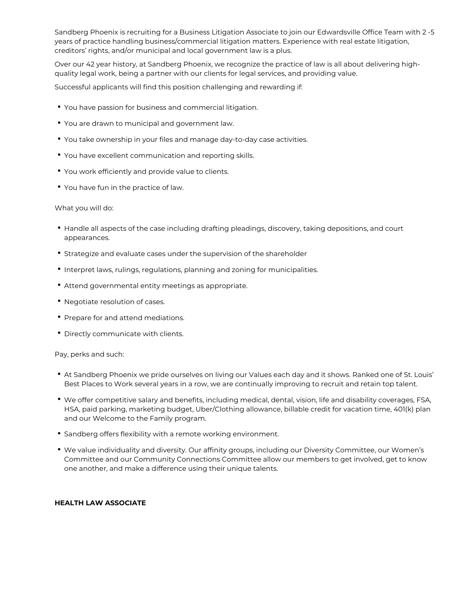Sandberg Phoenix is recruiting for a Business Litigation Associate to join our Edwardsville Office Team with 2 -5 years of practice handling business/commercial litigation matters. Experience with real estate litigation, creditors' rights, and/or municipal and local government law is a plus.

Over our 42 year history, at Sandberg Phoenix, we recognize the practice of law is all about delivering highquality legal work, being a partner with our clients for legal services, and providing value.

Successful applicants will find this position challenging and rewarding if:

- You have passion for business and commercial litigation.
- You are drawn to municipal and government law.
- You take ownership in your files and manage day-to-day case activities.
- You have excellent communication and reporting skills.
- You work efficiently and provide value to clients.
- You have fun in the practice of law.

#### What you will do:

- Handle all aspects of the case including drafting pleadings, discovery, taking depositions, and court appearances.
- Strategize and evaluate cases under the supervision of the shareholder
- Interpret laws, rulings, regulations, planning and zoning for municipalities.
- Attend governmental entity meetings as appropriate.
- Negotiate resolution of cases.
- Prepare for and attend mediations.
- Directly communicate with clients.

Pay, perks and such:

- At Sandberg Phoenix we pride ourselves on living our Values each day and it shows. Ranked one of St. Louis' Best Places to Work several years in a row, we are continually improving to recruit and retain top talent.
- We offer competitive salary and benefits, including medical, dental, vision, life and disability coverages, FSA, HSA, paid parking, marketing budget, Uber/Clothing allowance, billable credit for vacation time, 401(k) plan and our Welcome to the Family program.
- Sandberg offers flexibility with a remote working environment.
- We value individuality and diversity. Our affinity groups, including our Diversity Committee, our Women's Committee and our Community Connections Committee allow our members to get involved, get to know one another, and make a difference using their unique talents.

#### **HEALTH LAW ASSOCIATE**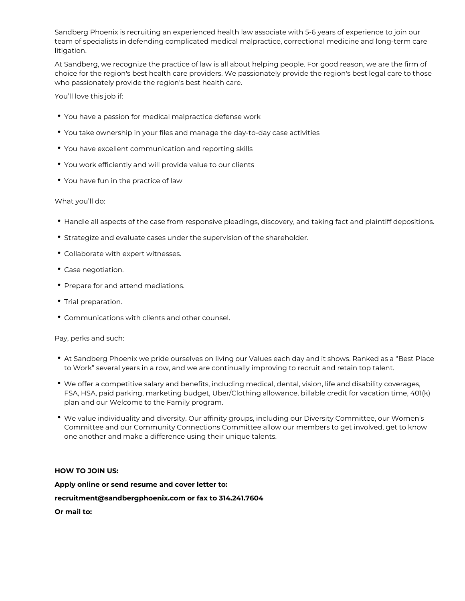Sandberg Phoenix is recruiting an experienced health law associate with 5-6 years of experience to join our team of specialists in defending complicated medical malpractice, correctional medicine and long-term care litigation.

At Sandberg, we recognize the practice of law is all about helping people. For good reason, we are the firm of choice for the region's best health care providers. We passionately provide the region's best legal care to those who passionately provide the region's best health care.

You'll love this job if:

- You have a passion for medical malpractice defense work
- You take ownership in your files and manage the day-to-day case activities
- You have excellent communication and reporting skills
- You work efficiently and will provide value to our clients
- You have fun in the practice of law

#### What you'll do:

- Handle all aspects of the case from responsive pleadings, discovery, and taking fact and plaintiff depositions.
- Strategize and evaluate cases under the supervision of the shareholder.
- Collaborate with expert witnesses.
- Case negotiation.
- Prepare for and attend mediations.
- Trial preparation.
- Communications with clients and other counsel.

Pay, perks and such:

- At Sandberg Phoenix we pride ourselves on living our Values each day and it shows. Ranked as a "Best Place to Work" several years in a row, and we are continually improving to recruit and retain top talent.
- We offer a competitive salary and benefits, including medical, dental, vision, life and disability coverages, FSA, HSA, paid parking, marketing budget, Uber/Clothing allowance, billable credit for vacation time, 401(k) plan and our Welcome to the Family program.
- We value individuality and diversity. Our affinity groups, including our Diversity Committee, our Women's Committee and our Community Connections Committee allow our members to get involved, get to know one another and make a difference using their unique talents.

#### **HOW TO JOIN US:**

**Apply online or send resume and cover letter to: recruitment@sandbergphoenix.com or fax to 314.241.7604 Or mail to:**